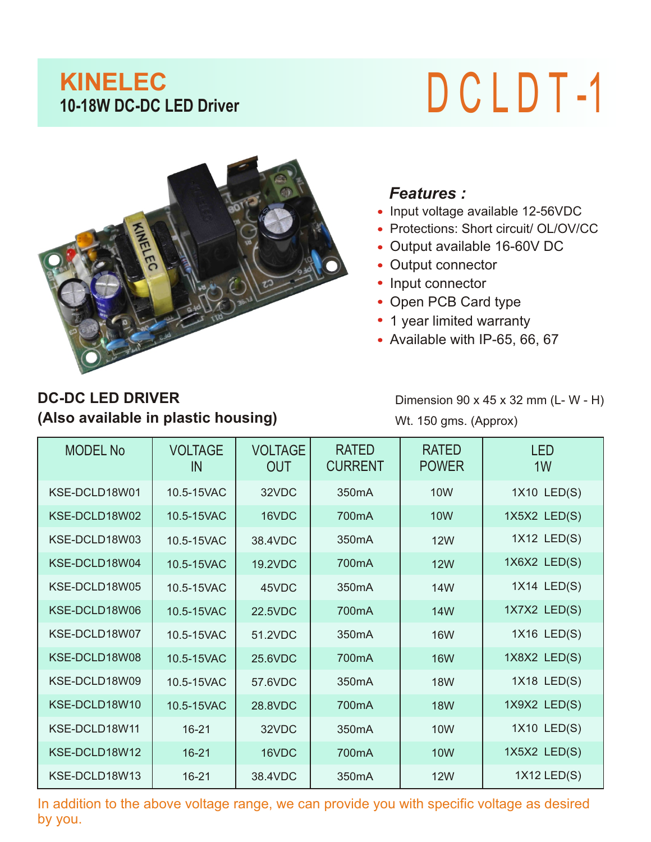## **KINELEC**<br>10-18W DC-DC LED Driver

## **10-18W DC-DC LED Driver** D C L D T -1



## *Features :*

- Input voltage available 12-56VDC
- Protections: Short circuit/ OL/OV/CC
- Output available 16-60V DC
- Output connector
- Input connector
- Open PCB Card type
- 1 year limited warranty
- Available with IP-65, 66, 67

## **(Also available in plastic housing) DC-DC LED DRIVER**

Dimension 90 x 45 x 32 mm (L- W - H) Wt. 150 gms. (Approx)

| <b>MODEL No</b> | <b>VOLTAGE</b><br>IN | <b>VOLTAGE</b><br><b>OUT</b> | <b>RATED</b><br><b>CURRENT</b> | <b>RATED</b><br><b>POWER</b> | <b>LED</b><br>1W |
|-----------------|----------------------|------------------------------|--------------------------------|------------------------------|------------------|
| KSE-DCLD18W01   | 10.5-15VAC           | 32VDC                        | 350 <sub>m</sub> A             | 10 <sub>W</sub>              | 1X10 LED(S)      |
| KSE-DCLD18W02   | 10.5-15VAC           | 16VDC                        | 700mA                          | <b>10W</b>                   | 1X5X2 LED(S)     |
| KSE-DCLD18W03   | 10.5-15VAC           | 38.4VDC                      | 350 <sub>m</sub> A             | <b>12W</b>                   | 1X12 LED(S)      |
| KSE-DCLD18W04   | 10.5-15VAC           | 19.2VDC                      | 700 <sub>m</sub> A             | <b>12W</b>                   | 1X6X2 LED(S)     |
| KSE-DCLD18W05   | 10.5-15VAC           | 45VDC                        | 350 <sub>m</sub> A             | 14W                          | 1X14 LED(S)      |
| KSE-DCLD18W06   | 10.5-15VAC           | <b>22.5VDC</b>               | 700 <sub>m</sub> A             | <b>14W</b>                   | 1X7X2 LED(S)     |
| KSE-DCLD18W07   | 10.5-15VAC           | 51.2VDC                      | 350 <sub>m</sub> A             | <b>16W</b>                   | 1X16 LED(S)      |
| KSE-DCLD18W08   | 10.5-15VAC           | 25.6VDC                      | 700 <sub>m</sub> A             | <b>16W</b>                   | 1X8X2 LED(S)     |
| KSE-DCLD18W09   | 10.5-15VAC           | 57.6VDC                      | 350 <sub>m</sub> A             | <b>18W</b>                   | 1X18 LED(S)      |
| KSE-DCLD18W10   | 10.5-15VAC           | 28.8VDC                      | 700 <sub>m</sub> A             | <b>18W</b>                   | 1X9X2 LED(S)     |
| KSE-DCLD18W11   | $16 - 21$            | 32VDC                        | 350 <sub>m</sub> A             | <b>10W</b>                   | 1X10 LED(S)      |
| KSE-DCLD18W12   | $16 - 21$            | 16VDC                        | 700 <sub>m</sub> A             | <b>10W</b>                   | 1X5X2 LED(S)     |
| KSE-DCLD18W13   | $16 - 21$            | 38.4VDC                      | 350 <sub>m</sub> A             | <b>12W</b>                   | 1X12 LED(S)      |

In addition to the above voltage range, we can provide you with specific voltage as desired by you.